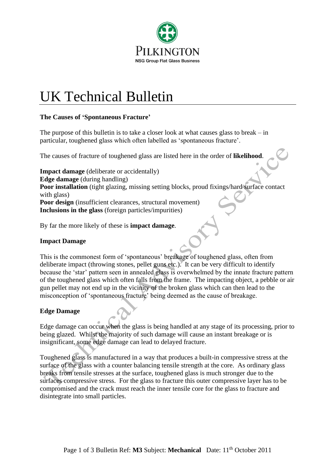

# UK Technical Bulletin

## **The Causes of 'Spontaneous Fracture'**

The purpose of this bulletin is to take a closer look at what causes glass to break  $-$  in particular, toughened glass which often labelled as 'spontaneous fracture'.

The causes of fracture of toughened glass are listed here in the order of **likelihood**.

**Impact damage** (deliberate or accidentally) **Edge damage** (during handling) Poor installation (tight glazing, missing setting blocks, proud fixings/hard surface contact with glass) Poor design (insufficient clearances, structural movement) **Inclusions in the glass** (foreign particles/impurities)

By far the more likely of these is **impact damage**.

## **Impact Damage**

This is the commonest form of 'spontaneous' breakage of toughened glass, often from deliberate impact (throwing stones, pellet guns etc.). It can be very difficult to identify because the 'star' pattern seen in annealed glass is overwhelmed by the innate fracture pattern of the toughened glass which often falls from the frame. The impacting object, a pebble or air gun pellet may not end up in the vicinity of the broken glass which can then lead to the misconception of 'spontaneous fracture' being deemed as the cause of breakage.

## **Edge Damage**

Edge damage can occur when the glass is being handled at any stage of its processing, prior to being glazed. Whilst the majority of such damage will cause an instant breakage or is insignificant, some edge damage can lead to delayed fracture.

Toughened glass is manufactured in a way that produces a built-in compressive stress at the surface of the glass with a counter balancing tensile strength at the core. As ordinary glass breaks from tensile stresses at the surface, toughened glass is much stronger due to the surfaces compressive stress. For the glass to fracture this outer compressive layer has to be compromised and the crack must reach the inner tensile core for the glass to fracture and disintegrate into small particles.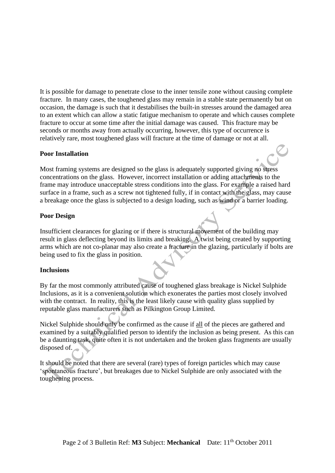It is possible for damage to penetrate close to the inner tensile zone without causing complete fracture. In many cases, the toughened glass may remain in a stable state permanently but on occasion, the damage is such that it destabilises the built-in stresses around the damaged area to an extent which can allow a static fatigue mechanism to operate and which causes complete fracture to occur at some time after the initial damage was caused. This fracture may be seconds or months away from actually occurring, however, this type of occurrence is relatively rare, most toughened glass will fracture at the time of damage or not at all.

#### **Poor Installation**

Most framing systems are designed so the glass is adequately supported giving no stress concentrations on the glass. However, incorrect installation or adding attachments to the frame may introduce unacceptable stress conditions into the glass. For example a raised hard surface in a frame, such as a screw not tightened fully, if in contact with the glass, may cause a breakage once the glass is subjected to a design loading, such as wind or a barrier loading.

#### **Poor Design**

Insufficient clearances for glazing or if there is structural movement of the building may result in glass deflecting beyond its limits and breaking. A twist being created by supporting arms which are not co-planar may also create a fracture in the glazing, particularly if bolts are being used to fix the glass in position.

## **Inclusions**

By far the most commonly attributed cause of toughened glass breakage is Nickel Sulphide Inclusions, as it is a convenient solution which exonerates the parties most closely involved with the contract. In reality, this is the least likely cause with quality glass supplied by reputable glass manufacturers such as Pilkington Group Limited.

Nickel Sulphide should only be confirmed as the cause if all of the pieces are gathered and examined by a suitably qualified person to identify the inclusion as being present. As this can be a daunting task, quite often it is not undertaken and the broken glass fragments are usually disposed of.

It should be noted that there are several (rare) types of foreign particles which may cause 'spontaneous fracture', but breakages due to Nickel Sulphide are only associated with the toughening process.